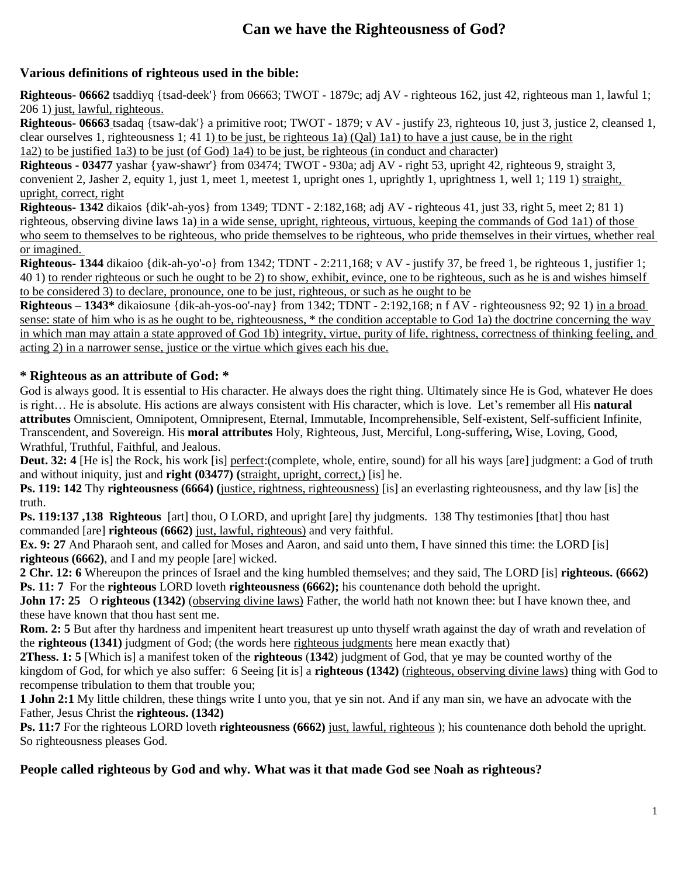# **Can we have the Righteousness of God?**

## **Various definitions of righteous used in the bible:**

**Righteous- 06662** tsaddiyq {tsad-deek'} from 06663; TWOT - 1879c; adj AV - righteous 162, just 42, righteous man 1, lawful 1; 206 1) just, lawful, righteous.

**Righteous- 06663** tsadaq {tsaw-dak'} a primitive root; TWOT - 1879; v AV - justify 23, righteous 10, just 3, justice 2, cleansed 1, clear ourselves 1, righteousness 1; 41 1) to be just, be righteous 1a) (Qal) 1a1) to have a just cause, be in the right 1a2) to be justified 1a3) to be just (of God) 1a4) to be just, be righteous (in conduct and character)

**Righteous - 03477** yashar {yaw-shawr'} from 03474; TWOT - 930a; adj AV - right 53, upright 42, righteous 9, straight 3, convenient 2, Jasher 2, equity 1, just 1, meet 1, meetest 1, upright ones 1, uprightly 1, uprightness 1, well 1; 119 1) straight, upright, correct, right

**Righteous- 1342** dikaios {dik'-ah-yos} from 1349; TDNT - 2:182,168; adj AV - righteous 41, just 33, right 5, meet 2; 81 1) righteous, observing divine laws 1a) in a wide sense, upright, righteous, virtuous, keeping the commands of God 1a1) of those who seem to themselves to be righteous, who pride themselves to be righteous, who pride themselves in their virtues, whether real or imagined.

**Righteous- 1344** dikaioo {dik-ah-yo'-o} from 1342; TDNT - 2:211,168; v AV - justify 37, be freed 1, be righteous 1, justifier 1; 40 1) to render righteous or such he ought to be 2) to show, exhibit, evince, one to be righteous, such as he is and wishes himself to be considered 3) to declare, pronounce, one to be just, righteous, or such as he ought to be

**Righteous – 1343\*** dikaiosune {dik-ah-yos-oo'-nay} from 1342; TDNT - 2:192,168; n f AV - righteousness 92; 92 1) in a broad sense: state of him who is as he ought to be, righteousness, \* the condition acceptable to God 1a) the doctrine concerning the way in which man may attain a state approved of God 1b) integrity, virtue, purity of life, rightness, correctness of thinking feeling, and acting 2) in a narrower sense, justice or the virtue which gives each his due.

## **\* Righteous as an attribute of God: \***

God is always good. It is essential to His character. He always does the right thing. Ultimately since He is God, whatever He does is right… He is absolute. His actions are always consistent with His character, which is love. Let's remember all His **natural attributes** Omniscient, Omnipotent, Omnipresent, Eternal, Immutable, Incomprehensible, Self-existent, Self-sufficient Infinite, Transcendent, and Sovereign. His **moral attributes** Holy, Righteous, Just, Merciful, Long-suffering**,** Wise, Loving, Good, Wrathful, Truthful, Faithful, and Jealous.

**Deut. 32:** 4 [He is] the Rock, his work [is] perfect:(complete, whole, entire, sound) for all his ways [are] judgment: a God of truth and without iniquity, just and **right (03477) (**straight, upright, correct,) [is] he.

**Ps. 119: 142** Thy **righteousness (6664) (**justice, rightness, righteousness) [is] an everlasting righteousness, and thy law [is] the truth.

**Ps. 119:137 ,138 Righteous** [art] thou, O LORD, and upright [are] thy judgments. 138 Thy testimonies [that] thou hast commanded [are] **righteous (6662)** just, lawful, righteous) and very faithful.

**Ex. 9: 27** And Pharaoh sent, and called for Moses and Aaron, and said unto them, I have sinned this time: the LORD [is] **righteous (6662)**, and I and my people [are] wicked.

**2 Chr. 12: 6** Whereupon the princes of Israel and the king humbled themselves; and they said, The LORD [is] **righteous. (6662) Ps. 11: 7** For the **righteous** LORD loveth **righteousness (6662);** his countenance doth behold the upright.

**John 17: 25** O **righteous (1342)** (observing divine laws) Father, the world hath not known thee: but I have known thee, and these have known that thou hast sent me.

**Rom. 2: 5** But after thy hardness and impenitent heart treasurest up unto thyself wrath against the day of wrath and revelation of the **righteous (1341)** judgment of God; (the words here righteous judgments here mean exactly that)

**2Thess. 1: 5** [Which is] a manifest token of the **righteous** (**1342**) judgment of God, that ye may be counted worthy of the kingdom of God, for which ye also suffer: 6 Seeing [it is] a **righteous (1342)** (righteous, observing divine laws) thing with God to recompense tribulation to them that trouble you;

**1 John 2:1** My little children, these things write I unto you, that ye sin not. And if any man sin, we have an advocate with the Father, Jesus Christ the **righteous. (1342)**

**Ps. 11:7** For the righteous LORD loveth **righteousness (6662)** just, lawful, righteous ); his countenance doth behold the upright. So righteousness pleases God.

## **People called righteous by God and why. What was it that made God see Noah as righteous?**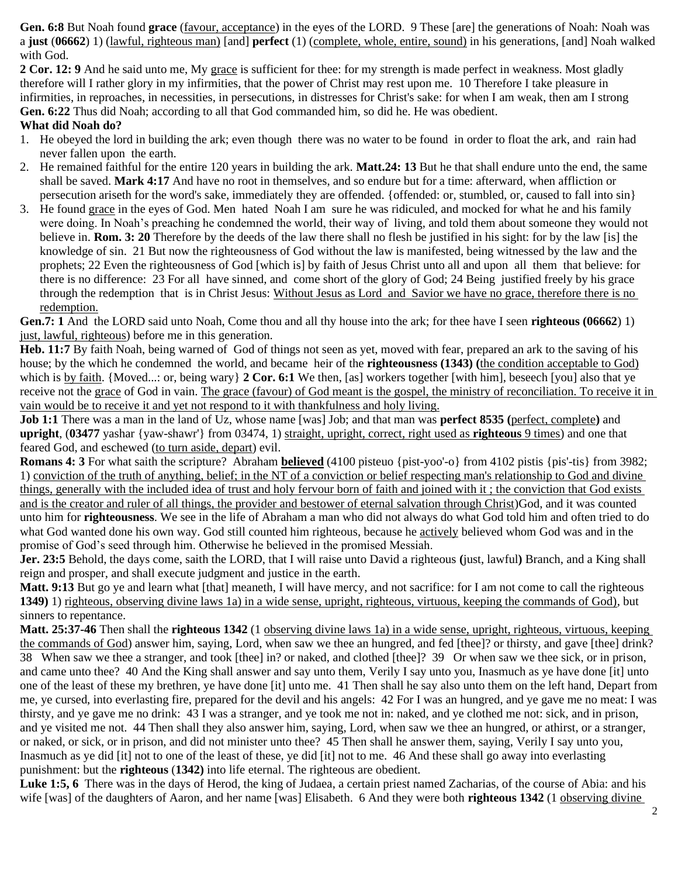**Gen. 6:8** But Noah found **grace** (favour, acceptance) in the eyes of the LORD. 9 These [are] the generations of Noah: Noah was a **just** (**06662**) 1) (lawful, righteous man) [and] **perfect** (1) (complete, whole, entire, sound) in his generations, [and] Noah walked with God.

**2 Cor. 12: 9** And he said unto me, My grace is sufficient for thee: for my strength is made perfect in weakness. Most gladly therefore will I rather glory in my infirmities, that the power of Christ may rest upon me. 10 Therefore I take pleasure in infirmities, in reproaches, in necessities, in persecutions, in distresses for Christ's sake: for when I am weak, then am I strong **Gen. 6:22** Thus did Noah; according to all that God commanded him, so did he. He was obedient.

#### **What did Noah do?**

- 1. He obeyed the lord in building the ark; even though there was no water to be found in order to float the ark, and rain had never fallen upon the earth.
- 2. He remained faithful for the entire 120 years in building the ark. **Matt.24: 13** But he that shall endure unto the end, the same shall be saved. **Mark 4:17** And have no root in themselves, and so endure but for a time: afterward, when affliction or persecution ariseth for the word's sake, immediately they are offended. {offended: or, stumbled, or, caused to fall into sin}
- 3. He found grace in the eyes of God. Men hated Noah I am sure he was ridiculed, and mocked for what he and his family were doing. In Noah's preaching he condemned the world, their way of living, and told them about someone they would not believe in. **Rom. 3: 20** Therefore by the deeds of the law there shall no flesh be justified in his sight: for by the law [is] the knowledge of sin. 21 But now the righteousness of God without the law is manifested, being witnessed by the law and the prophets; 22 Even the righteousness of God [which is] by faith of Jesus Christ unto all and upon all them that believe: for there is no difference: 23 For all have sinned, and come short of the glory of God; 24 Being justified freely by his grace through the redemption that is in Christ Jesus: Without Jesus as Lord and Savior we have no grace, therefore there is no redemption.

**Gen.7: 1** And the LORD said unto Noah, Come thou and all thy house into the ark; for thee have I seen **righteous (06662**) 1) just, lawful, righteous) before me in this generation.

**Heb. 11:7** By faith Noah, being warned of God of things not seen as yet, moved with fear, prepared an ark to the saving of his house; by the which he condemned the world, and became heir of the **righteousness (1343) (**the condition acceptable to God) which is by faith. {Moved...: or, being wary} **2 Cor. 6:1** We then, [as] workers together [with him], beseech [you] also that ye receive not the grace of God in vain. The grace (favour) of God meant is the gospel, the ministry of reconciliation. To receive it in vain would be to receive it and yet not respond to it with thankfulness and holy living.

**Job 1:1** There was a man in the land of Uz, whose name [was] Job; and that man was **perfect 8535 (**perfect, complete**)** and **upright**, (**03477** yashar {yaw-shawr'} from 03474, 1) straight, upright, correct, right used as **righteous** 9 times) and one that feared God, and eschewed (to turn aside, depart) evil.

**Romans 4: 3** For what saith the scripture? Abraham **believed** (4100 pisteuo {pist-yoo'-o} from 4102 pistis {pis'-tis} from 3982; 1) conviction of the truth of anything, belief; in the NT of a conviction or belief respecting man's relationship to God and divine things, generally with the included idea of trust and holy fervour born of faith and joined with it ; the conviction that God exists and is the creator and ruler of all things, the provider and bestower of eternal salvation through Christ)God, and it was counted unto him for **righteousness**. We see in the life of Abraham a man who did not always do what God told him and often tried to do what God wanted done his own way. God still counted him righteous, because he actively believed whom God was and in the promise of God's seed through him. Otherwise he believed in the promised Messiah.

**Jer. 23:5** Behold, the days come, saith the LORD, that I will raise unto David a righteous **(**just, lawful**)** Branch, and a King shall reign and prosper, and shall execute judgment and justice in the earth.

**Matt. 9:13** But go ye and learn what [that] meaneth, I will have mercy, and not sacrifice: for I am not come to call the righteous **1349)** 1) righteous, observing divine laws 1a) in a wide sense, upright, righteous, virtuous, keeping the commands of God), but sinners to repentance.

**Matt. 25:37-46** Then shall the **righteous 1342** (1 observing divine laws 1a) in a wide sense, upright, righteous, virtuous, keeping the commands of God) answer him, saying, Lord, when saw we thee an hungred, and fed [thee]? or thirsty, and gave [thee] drink? 38 When saw we thee a stranger, and took [thee] in? or naked, and clothed [thee]? 39 Or when saw we thee sick, or in prison, and came unto thee? 40 And the King shall answer and say unto them, Verily I say unto you, Inasmuch as ye have done [it] unto one of the least of these my brethren, ye have done [it] unto me. 41 Then shall he say also unto them on the left hand, Depart from me, ye cursed, into everlasting fire, prepared for the devil and his angels: 42 For I was an hungred, and ye gave me no meat: I was thirsty, and ye gave me no drink: 43 I was a stranger, and ye took me not in: naked, and ye clothed me not: sick, and in prison, and ye visited me not. 44 Then shall they also answer him, saying, Lord, when saw we thee an hungred, or athirst, or a stranger, or naked, or sick, or in prison, and did not minister unto thee? 45 Then shall he answer them, saying, Verily I say unto you, Inasmuch as ye did [it] not to one of the least of these, ye did [it] not to me. 46 And these shall go away into everlasting punishment: but the **righteous** (**1342)** into life eternal. The righteous are obedient.

Luke 1:5, 6 There was in the days of Herod, the king of Judaea, a certain priest named Zacharias, of the course of Abia: and his wife [was] of the daughters of Aaron, and her name [was] Elisabeth. 6 And they were both **righteous 1342** (1 observing divine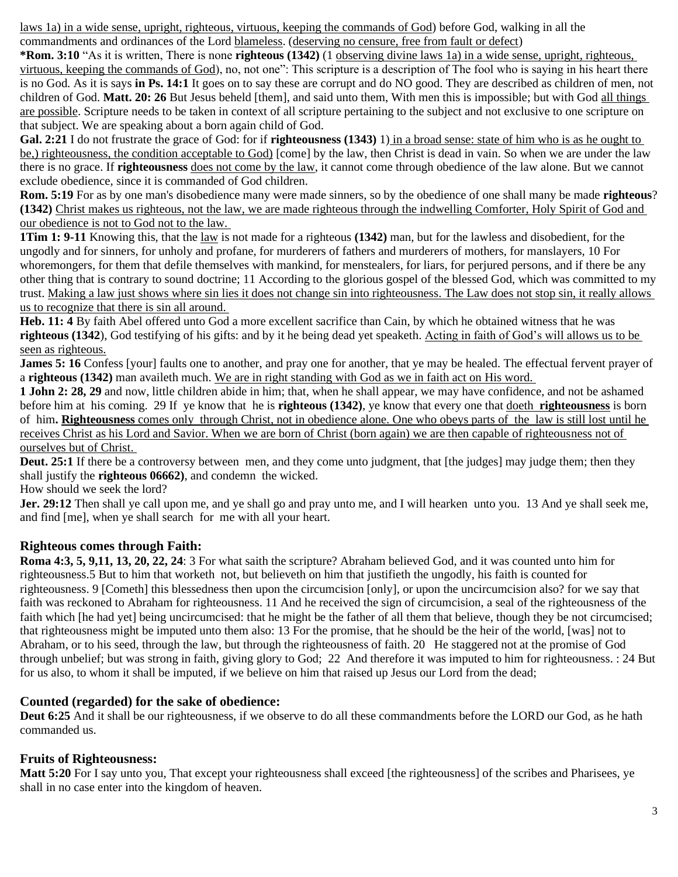laws 1a) in a wide sense, upright, righteous, virtuous, keeping the commands of God) before God, walking in all the commandments and ordinances of the Lord blameless. (deserving no censure, free from fault or defect)

**\*Rom. 3:10** "As it is written, There is none **righteous (1342)** (1 observing divine laws 1a) in a wide sense, upright, righteous, virtuous, keeping the commands of God), no, not one": This scripture is a description of The fool who is saying in his heart there is no God. As it is says **in Ps. 14:1** It goes on to say these are corrupt and do NO good. They are described as children of men, not children of God. **Matt. 20: 26** But Jesus beheld [them], and said unto them, With men this is impossible; but with God all things are possible. Scripture needs to be taken in context of all scripture pertaining to the subject and not exclusive to one scripture on that subject. We are speaking about a born again child of God.

**Gal. 2:21** I do not frustrate the grace of God: for if **righteousness (1343)** 1) in a broad sense: state of him who is as he ought to be,) righteousness, the condition acceptable to God) [come] by the law, then Christ is dead in vain. So when we are under the law there is no grace. If **righteousness** does not come by the law, it cannot come through obedience of the law alone. But we cannot exclude obedience, since it is commanded of God children.

**Rom. 5:19** For as by one man's disobedience many were made sinners, so by the obedience of one shall many be made **righteous**? **(1342)** Christ makes us righteous, not the law, we are made righteous through the indwelling Comforter, Holy Spirit of God and our obedience is not to God not to the law.

**1Tim 1: 9-11** Knowing this, that the law is not made for a righteous **(1342)** man, but for the lawless and disobedient, for the ungodly and for sinners, for unholy and profane, for murderers of fathers and murderers of mothers, for manslayers, 10 For whoremongers, for them that defile themselves with mankind, for menstealers, for liars, for perjured persons, and if there be any other thing that is contrary to sound doctrine; 11 According to the glorious gospel of the blessed God, which was committed to my trust. Making a law just shows where sin lies it does not change sin into righteousness. The Law does not stop sin, it really allows us to recognize that there is sin all around.

**Heb. 11: 4** By faith Abel offered unto God a more excellent sacrifice than Cain, by which he obtained witness that he was **righteous (1342**), God testifying of his gifts: and by it he being dead yet speaketh. Acting in faith of God's will allows us to be seen as righteous.

**James 5: 16** Confess [your] faults one to another, and pray one for another, that ye may be healed. The effectual fervent prayer of a **righteous (1342)** man availeth much. We are in right standing with God as we in faith act on His word.

**1 John 2: 28, 29** and now, little children abide in him; that, when he shall appear, we may have confidence, and not be ashamed before him at his coming. 29 If ye know that he is **righteous (1342)**, ye know that every one that doeth **righteousness** is born of him**. Righteousness** comes only through Christ, not in obedience alone. One who obeys parts of the law is still lost until he receives Christ as his Lord and Savior. When we are born of Christ (born again) we are then capable of righteousness not of ourselves but of Christ.

**Deut. 25:1** If there be a controversy between men, and they come unto judgment, that [the judges] may judge them; then they shall justify the **righteous 06662)**, and condemn the wicked.

How should we seek the lord?

**Jer. 29:12** Then shall ye call upon me, and ye shall go and pray unto me, and I will hearken unto you. 13 And ye shall seek me, and find [me], when ye shall search for me with all your heart.

## **Righteous comes through Faith:**

**Roma 4:3, 5, 9,11, 13, 20, 22, 24**: 3 For what saith the scripture? Abraham believed God, and it was counted unto him for righteousness.5 But to him that worketh not, but believeth on him that justifieth the ungodly, his faith is counted for righteousness. 9 [Cometh] this blessedness then upon the circumcision [only], or upon the uncircumcision also? for we say that faith was reckoned to Abraham for righteousness. 11 And he received the sign of circumcision, a seal of the righteousness of the faith which [he had yet] being uncircumcised: that he might be the father of all them that believe, though they be not circumcised; that righteousness might be imputed unto them also: 13 For the promise, that he should be the heir of the world, [was] not to Abraham, or to his seed, through the law, but through the righteousness of faith. 20 He staggered not at the promise of God through unbelief; but was strong in faith, giving glory to God; 22 And therefore it was imputed to him for righteousness. : 24 But for us also, to whom it shall be imputed, if we believe on him that raised up Jesus our Lord from the dead;

## **Counted (regarded) for the sake of obedience:**

**Deut 6:25** And it shall be our righteousness, if we observe to do all these commandments before the LORD our God, as he hath commanded us.

## **Fruits of Righteousness:**

**Matt 5:20** For I say unto you, That except your righteousness shall exceed [the righteousness] of the scribes and Pharisees, ye shall in no case enter into the kingdom of heaven.